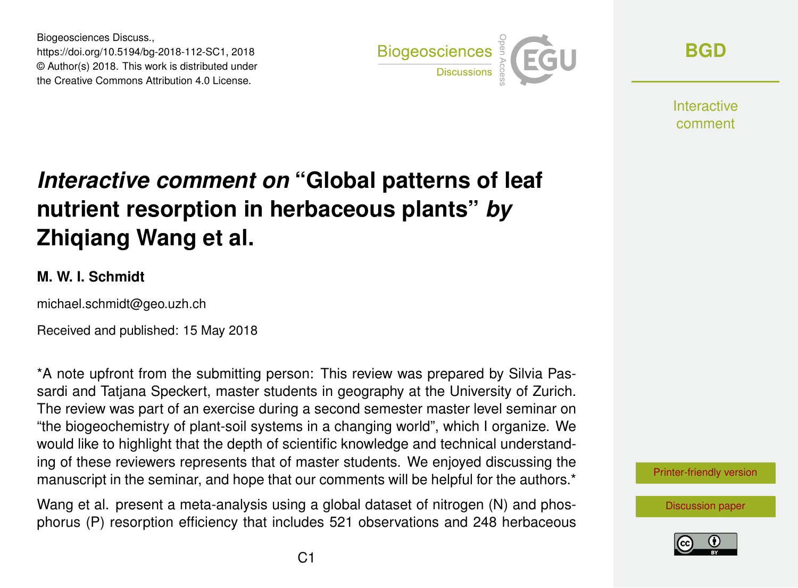Biogeosciences Discuss., https://doi.org/10.5194/bg-2018-112-SC1, 2018 © Author(s) 2018. This work is distributed under the Creative Commons Attribution 4.0 License.



**[BGD](https://www.biogeosciences-discuss.net/)**

**Interactive** comment

## *Interactive comment on* **"Global patterns of leaf nutrient resorption in herbaceous plants"** *by* **Zhiqiang Wang et al.**

## **M. W. I. Schmidt**

michael.schmidt@geo.uzh.ch

Received and published: 15 May 2018

\*A note upfront from the submitting person: This review was prepared by Silvia Passardi and Tatjana Speckert, master students in geography at the University of Zurich. The review was part of an exercise during a second semester master level seminar on "the biogeochemistry of plant-soil systems in a changing world", which I organize. We would like to highlight that the depth of scientific knowledge and technical understanding of these reviewers represents that of master students. We enjoyed discussing the manuscript in the seminar, and hope that our comments will be helpful for the authors.<sup>\*</sup>

Wang et al. present a meta-analysis using a global dataset of nitrogen (N) and phosphorus (P) resorption efficiency that includes 521 observations and 248 herbaceous [Printer-friendly version](https://www.biogeosciences-discuss.net/bg-2018-112/bg-2018-112-SC1-print.pdf)

[Discussion paper](https://www.biogeosciences-discuss.net/bg-2018-112)

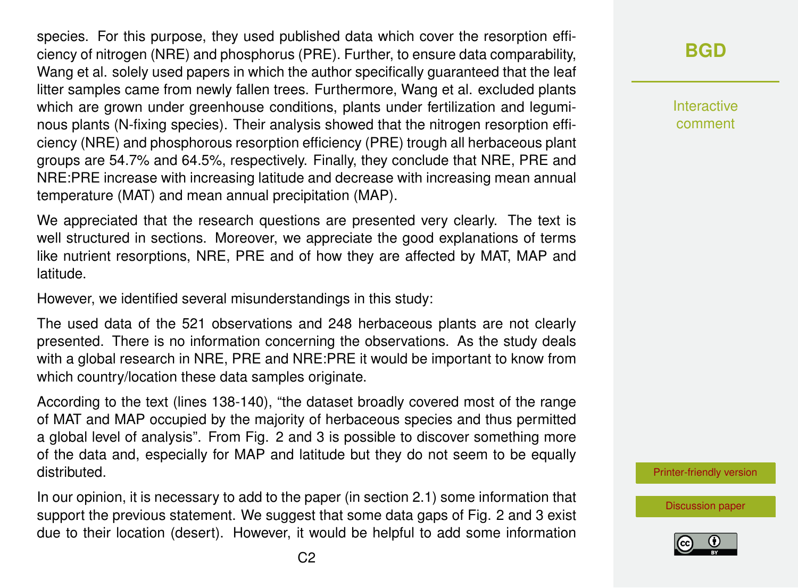species. For this purpose, they used published data which cover the resorption efficiency of nitrogen (NRE) and phosphorus (PRE). Further, to ensure data comparability, Wang et al. solely used papers in which the author specifically guaranteed that the leaf litter samples came from newly fallen trees. Furthermore, Wang et al. excluded plants which are grown under greenhouse conditions, plants under fertilization and leguminous plants (N-fixing species). Their analysis showed that the nitrogen resorption efficiency (NRE) and phosphorous resorption efficiency (PRE) trough all herbaceous plant groups are 54.7% and 64.5%, respectively. Finally, they conclude that NRE, PRE and NRE:PRE increase with increasing latitude and decrease with increasing mean annual temperature (MAT) and mean annual precipitation (MAP).

We appreciated that the research questions are presented very clearly. The text is well structured in sections. Moreover, we appreciate the good explanations of terms like nutrient resorptions, NRE, PRE and of how they are affected by MAT, MAP and latitude.

However, we identified several misunderstandings in this study:

The used data of the 521 observations and 248 herbaceous plants are not clearly presented. There is no information concerning the observations. As the study deals with a global research in NRE, PRE and NRE:PRE it would be important to know from which country/location these data samples originate.

According to the text (lines 138-140), "the dataset broadly covered most of the range of MAT and MAP occupied by the majority of herbaceous species and thus permitted a global level of analysis". From Fig. 2 and 3 is possible to discover something more of the data and, especially for MAP and latitude but they do not seem to be equally distributed.

In our opinion, it is necessary to add to the paper (in section 2.1) some information that support the previous statement. We suggest that some data gaps of Fig. 2 and 3 exist due to their location (desert). However, it would be helpful to add some information

## **[BGD](https://www.biogeosciences-discuss.net/)**

Interactive comment

[Printer-friendly version](https://www.biogeosciences-discuss.net/bg-2018-112/bg-2018-112-SC1-print.pdf)

[Discussion paper](https://www.biogeosciences-discuss.net/bg-2018-112)

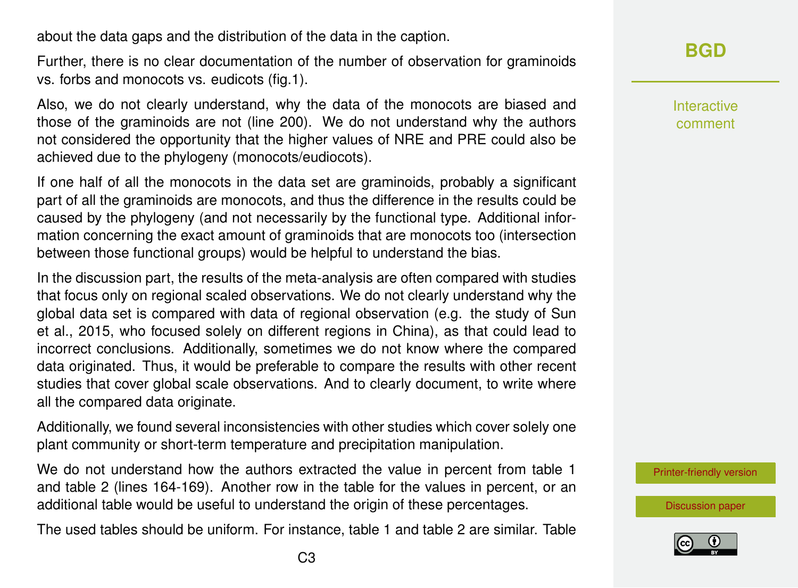about the data gaps and the distribution of the data in the caption.

Further, there is no clear documentation of the number of observation for graminoids vs. forbs and monocots vs. eudicots (fig.1).

Also, we do not clearly understand, why the data of the monocots are biased and those of the graminoids are not (line 200). We do not understand why the authors not considered the opportunity that the higher values of NRE and PRE could also be achieved due to the phylogeny (monocots/eudiocots).

If one half of all the monocots in the data set are graminoids, probably a significant part of all the graminoids are monocots, and thus the difference in the results could be caused by the phylogeny (and not necessarily by the functional type. Additional information concerning the exact amount of graminoids that are monocots too (intersection between those functional groups) would be helpful to understand the bias.

In the discussion part, the results of the meta-analysis are often compared with studies that focus only on regional scaled observations. We do not clearly understand why the global data set is compared with data of regional observation (e.g. the study of Sun et al., 2015, who focused solely on different regions in China), as that could lead to incorrect conclusions. Additionally, sometimes we do not know where the compared data originated. Thus, it would be preferable to compare the results with other recent studies that cover global scale observations. And to clearly document, to write where all the compared data originate.

Additionally, we found several inconsistencies with other studies which cover solely one plant community or short-term temperature and precipitation manipulation.

We do not understand how the authors extracted the value in percent from table 1 and table 2 (lines 164-169). Another row in the table for the values in percent, or an additional table would be useful to understand the origin of these percentages.

The used tables should be uniform. For instance, table 1 and table 2 are similar. Table

Interactive comment

[Printer-friendly version](https://www.biogeosciences-discuss.net/bg-2018-112/bg-2018-112-SC1-print.pdf)

[Discussion paper](https://www.biogeosciences-discuss.net/bg-2018-112)